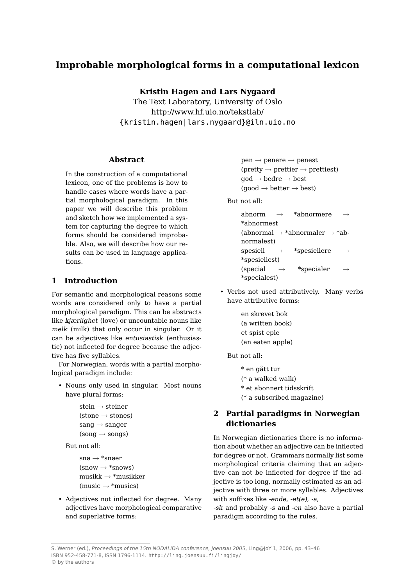# **Improbable morphological forms in a computational lexicon**

**Kristin Hagen and Lars Nygaard**

The Text Laboratory, University of Oslo http://www.hf.uio.no/tekstlab/ {kristin.hagen|lars.nygaard}@iln.uio.no

#### **Abstract**

In the construction of a computational lexicon, one of the problems is how to handle cases where words have a partial morphological paradigm. In this paper we will describe this problem and sketch how we implemented a system for capturing the degree to which forms should be considered improbable. Also, we will describe how our results can be used in language applications.

#### **1 Introduction**

For semantic and morphological reasons some words are considered only to have a partial morphological paradigm. This can be abstracts like kjærlighet (love) or uncountable nouns like melk (milk) that only occur in singular. Or it can be adjectives like entusiastisk (enthusiastic) not inflected for degree because the adjective has five syllables.

For Norwegian, words with a partial morphological paradigm include:

• Nouns only used in singular. Most nouns have plural forms:

```
stein \rightarrow steiner
(\text{stone} \rightarrow \text{stones})sang \rightarrow sanger(song \rightarrow songs)
```
But not all:

```
sn\omega \rightarrow *sn\omegaer
(snow \rightarrow *snows)musikk \rightarrow *musikker(music \rightarrow *musics)
```
• Adjectives not inflected for degree. Many adjectives have morphological comparative and superlative forms:

 $pen \rightarrow penere \rightarrow penest$  $(\text{pretty} \rightarrow \text{prettier} \rightarrow \text{prettiest})$  $\text{god} \rightarrow \text{bedre} \rightarrow \text{best}$  $(good \rightarrow better \rightarrow best)$ 

But not all:

abnorm  $\rightarrow$  \*abnormere \*abnormest (abnormal  $\rightarrow$  \*abnormaler  $\rightarrow$  \*abnormalest) spesiell  $\rightarrow$  \*spesiellere \*spesiellest) (special  $\rightarrow$  \*specialer \*specialest)

• Verbs not used attributively. Many verbs have attributive forms:

> en skrevet bok (a written book) et spist eple (an eaten apple)

But not all:

\* en gått tur (\* a walked walk) \* et abonnert tidsskrift (\* a subscribed magazine)

# **2 Partial paradigms in Norwegian dictionaries**

In Norwegian dictionaries there is no information about whether an adjective can be inflected for degree or not. Grammars normally list some morphological criteria claiming that an adjective can not be inflected for degree if the adjective is too long, normally estimated as an adjective with three or more syllables. Adjectives with suffixes like -ende, -et(e), -a,

-sk and probably -s and -en also have a partial paradigm according to the rules.

S. Werner (ed.), Proceedings of the 15th NODALIDA conference, Joensuu 2005, Ling@JoY 1, 2006, pp. 43–46 ISBN 952-458-771-8, ISSN 1796-1114. http://ling.joensuu.fi/lingjoy/ © by the authors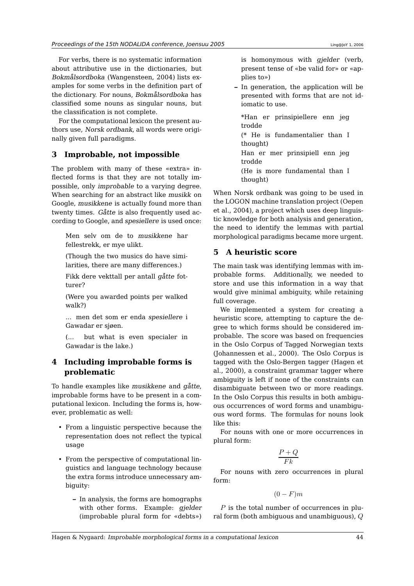For verbs, there is no systematic information about attributive use in the dictionaries, but Bokmålsordboka (Wangensteen, 2004) lists examples for some verbs in the definition part of the dictionary. For nouns, Bokmålsordboka has classified some nouns as singular nouns, but the classification is not complete.

For the computational lexicon the present authors use, Norsk ordbank, all words were originally given full paradigms.

# **3 Improbable, not impossible**

The problem with many of these «extra» inflected forms is that they are not totally impossible, only improbable to a varying degree. When searching for an abstract like musikk on Google, musikkene is actually found more than twenty times. Gåtte is also frequently used according to Google, and spesiellere is used once:

Men selv om de to musikkene har fellestrekk, er mye ulikt.

(Though the two musics do have similarities, there are many differences.)

Fikk dere vekttall per antall gåtte fotturer?

(Were you awarded points per walked walk?)

... men det som er enda spesiellere i Gawadar er sjøen.

(... but what is even specialer in Gawadar is the lake.)

# **4 Including improbable forms is problematic**

To handle examples like musikkene and gåtte, improbable forms have to be present in a computational lexicon. Including the forms is, however, problematic as well:

- From a linguistic perspective because the representation does not reflect the typical usage
- From the perspective of computational linguistics and language technology because the extra forms introduce unnecessary ambiguity:
	- **–** In analysis, the forms are homographs with other forms. Example: *gielder* (improbable plural form for «debts»)

is homonymous with gjelder (verb, present tense of «be valid for» or «applies to»)

**–** In generation, the application will be presented with forms that are not idiomatic to use.

\*Han er prinsipiellere enn jeg trodde

(\* He is fundamentalier than I thought)

Han er mer prinsipiell enn jeg trodde

(He is more fundamental than I thought)

When Norsk ordbank was going to be used in the LOGON machine translation project (Oepen et al., 2004), a project which uses deep linguistic knowledge for both analysis and generation, the need to identify the lemmas with partial morphological paradigms became more urgent.

### **5 A heuristic score**

The main task was identifying lemmas with improbable forms. Additionally, we needed to store and use this information in a way that would give minimal ambiguity, while retaining full coverage.

We implemented a system for creating a heuristic score, attempting to capture the degree to which forms should be considered improbable. The score was based on frequencies in the Oslo Corpus of Tagged Norwegian texts (Johannessen et al., 2000). The Oslo Corpus is tagged with the Oslo-Bergen tagger (Hagen et al., 2000), a constraint grammar tagger where ambiguity is left if none of the constraints can disambiguate between two or more readings. In the Oslo Corpus this results in both ambiguous occurrences of word forms and unambiguous word forms. The formulas for nouns look like this:

For nouns with one or more occurrences in plural form:

$$
\frac{P+Q}{Fk}
$$

For nouns with zero occurrences in plural form:

 $(0 - F)m$ 

 $P$  is the total number of occurrences in plural form (both ambiguous and unambiguous), Q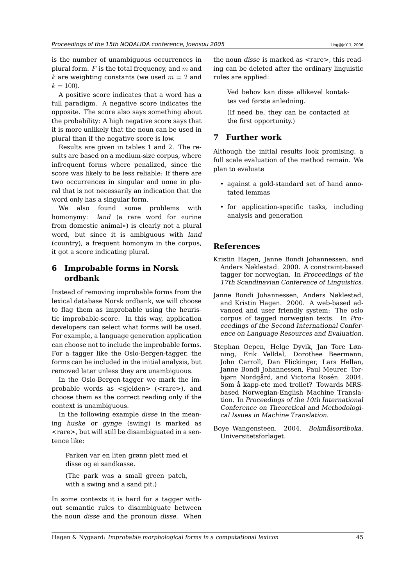is the number of unambiguous occurrences in plural form.  $F$  is the total frequency, and  $m$  and k are weighting constants (we used  $m = 2$  and  $k = 100$ .

A positive score indicates that a word has a full paradigm. A negative score indicates the opposite. The score also says something about the probability: A high negative score says that it is more unlikely that the noun can be used in plural than if the negative score is low.

Results are given in tables 1 and 2. The results are based on a medium-size corpus, where infrequent forms where penalized, since the score was likely to be less reliable: If there are two occurrences in singular and none in plural that is not necessarily an indication that the word only has a singular form.

We also found some problems with homonymy: land (a rare word for «urine from domestic animal») is clearly not a plural word, but since it is ambiguous with land (country), a frequent homonym in the corpus, it got a score indicating plural.

### **6 Improbable forms in Norsk ordbank**

Instead of removing improbable forms from the lexical database Norsk ordbank, we will choose to flag them as improbable using the heuristic improbable-score. In this way, application developers can select what forms will be used. For example, a language generation application can choose not to include the improbable forms. For a tagger like the Oslo-Bergen-tagger, the forms can be included in the initial analysis, but removed later unless they are unambiguous.

In the Oslo-Bergen-tagger we mark the improbable words as <sjelden> (<rare>), and choose them as the correct reading only if the context is unambiguous.

In the following example disse in the meaning huske or gynge (swing) is marked as <rare>, but will still be disambiguated in a sentence like:

Parken var en liten grønn plett med ei disse og ei sandkasse.

(The park was a small green patch, with a swing and a sand pit.)

In some contexts it is hard for a tagger without semantic rules to disambiguate between the noun disse and the pronoun disse. When

the noun *disse* is marked as <rare>, this reading can be deleted after the ordinary linguistic rules are applied:

Ved behov kan disse allikevel kontaktes ved første anledning.

(If need be, they can be contacted at the first opportunity.)

#### **7 Further work**

Although the initial results look promising, a full scale evaluation of the method remain. We plan to evaluate

- against a gold-standard set of hand annotated lemmas
- for application-specific tasks, including analysis and generation

#### **References**

- Kristin Hagen, Janne Bondi Johannessen, and Anders Nøklestad. 2000. A constraint-based tagger for norwegian. In Proceedings of the 17th Scandinavian Conference of Linguistics.
- Janne Bondi Johannessen, Anders Nøklestad, and Kristin Hagen. 2000. A web-based advanced and user friendly system: The oslo corpus of tagged norwegian texts. In Proceedings of the Second International Conference on Language Resources and Evaluation.
- Stephan Oepen, Helge Dyvik, Jan Tore Lønning, Erik Velldal, Dorothee Beermann, John Carroll, Dan Flickinger, Lars Hellan, Janne Bondi Johannessen, Paul Meurer, Torbjørn Nordgård, and Victoria Rosén. 2004. Som å kapp-ete med trollet? Towards MRSbased Norwegian-English Machine Translation. In Proceedings of the 10th International Conference on Theoretical and Methodological Issues in Machine Translation.
- Boye Wangensteen. 2004. Bokmålsordboka. Universitetsforlaget.